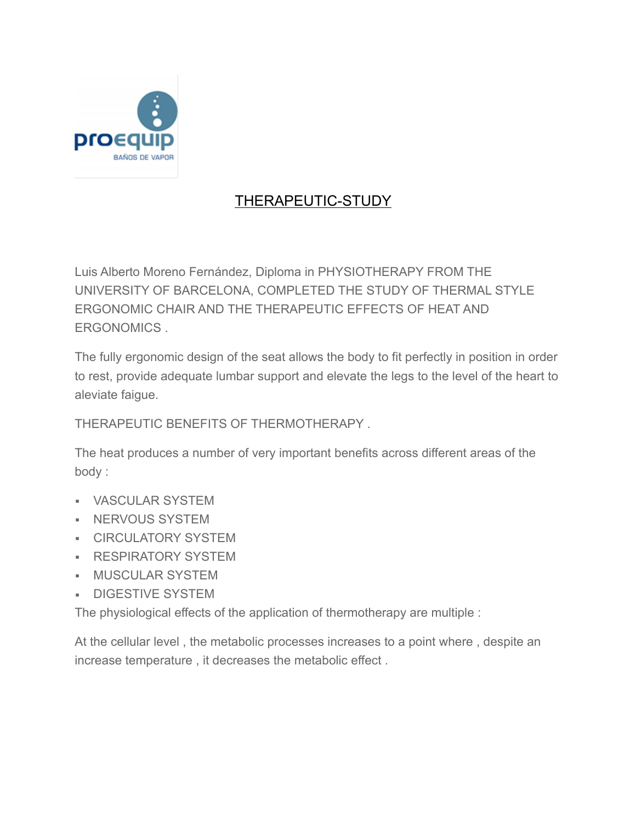

## THERAPEUTIC-STUDY

Luis Alberto Moreno Fernández, Diploma in PHYSIOTHERAPY FROM THE UNIVERSITY OF BARCELONA, COMPLETED THE STUDY OF THERMAL STYLE ERGONOMIC CHAIR AND THE THERAPEUTIC EFFECTS OF HEAT AND ERGONOMICS .

The fully ergonomic design of the seat allows the body to fit perfectly in position in order to rest, provide adequate lumbar support and elevate the legs to the level of the heart to aleviate faigue.

THERAPEUTIC BENEFITS OF THERMOTHERAPY .

The heat produces a number of very important benefits across different areas of the body :

- VASCULAR SYSTEM
- **EXECUTE SYSTEM**
- **CIRCULATORY SYSTEM**
- **EXEMPLE RESPIRATORY SYSTEM**
- MUSCULAR SYSTEM
- **DIGESTIVE SYSTEM**

The physiological effects of the application of thermotherapy are multiple :

At the cellular level , the metabolic processes increases to a point where , despite an increase temperature , it decreases the metabolic effect .